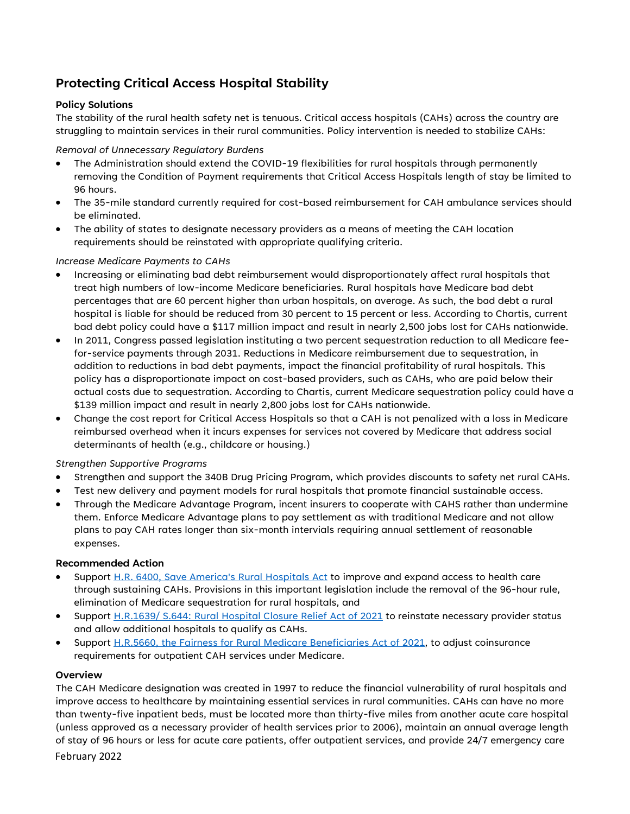# **Protecting Critical Access Hospital Stability**

# **Policy Solutions**

The stability of the rural health safety net is tenuous. Critical access hospitals (CAHs) across the country are struggling to maintain services in their rural communities. Policy intervention is needed to stabilize CAHs:

## *Removal of Unnecessary Regulatory Burdens*

- The Administration should extend the COVID-19 flexibilities for rural hospitals through permanently removing the Condition of Payment requirements that Critical Access Hospitals length of stay be limited to 96 hours.
- The 35-mile standard currently required for cost-based reimbursement for CAH ambulance services should be eliminated.
- The ability of states to designate necessary providers as a means of meeting the CAH location requirements should be reinstated with appropriate qualifying criteria.

## *Increase Medicare Payments to CAHs*

- Increasing or eliminating bad debt reimbursement would disproportionately affect rural hospitals that treat high numbers of low-income Medicare beneficiaries. Rural hospitals have Medicare bad debt percentages that are 60 percent higher than urban hospitals, on average. As such, the bad debt a rural hospital is liable for should be reduced from 30 percent to 15 percent or less. According to Chartis, current bad debt policy could have a \$117 million impact and result in nearly 2,500 jobs lost for CAHs nationwide.
- In 2011, Congress passed legislation instituting a two percent sequestration reduction to all Medicare feefor-service payments through 2031. Reductions in Medicare reimbursement due to sequestration, in addition to reductions in bad debt payments, impact the financial profitability of rural hospitals. This policy has a disproportionate impact on cost-based providers, such as CAHs, who are paid below their actual costs due to sequestration. According to Chartis, current Medicare sequestration policy could have a \$139 million impact and result in nearly 2,800 jobs lost for CAHs nationwide.
- Change the cost report for Critical Access Hospitals so that a CAH is not penalized with a loss in Medicare reimbursed overhead when it incurs expenses for services not covered by Medicare that address social determinants of health (e.g., childcare or housing.)

# *Strengthen Supportive Programs*

- Strengthen and support the 340B Drug Pricing Program, which provides discounts to safety net rural CAHs.
- Test new delivery and payment models for rural hospitals that promote financial sustainable access.
- Through the Medicare Advantage Program, incent insurers to cooperate with CAHS rather than undermine them. Enforce Medicare Advantage plans to pay settlement as with traditional Medicare and not allow plans to pay CAH rates longer than six-month intervials requiring annual settlement of reasonable expenses.

#### **Recommended Action**

- Support [H.R. 6400, Save America's Rural Hospitals Act](https://www.congress.gov/bill/117th-congress/house-bill/6400?s=1&r=1) to improve and expand access to health care through sustaining CAHs. Provisions in this important legislation include the removal of the 96-hour rule, elimination of Medicare sequestration for rural hospitals, and
- Support [H.R.1639/ S.644: Rural Hospital Closure Relief Act of 2021](https://www.congress.gov/bill/117th-congress/senate-bill/644) to reinstate necessary provider status and allow additional hospitals to qualify as CAHs.
- Support [H.R.5660, the Fairness for Rural Medicare Beneficiaries Act of 2021,](https://www.congress.gov/bill/117th-congress/house-bill/5660?q=%7B%22search%22%3A%5B%22hr5660%22%2C%22hr5660%22%5D%7D&s=2&r=1) to adjust coinsurance requirements for outpatient CAH services under Medicare.

#### **Overview**

February 2022 The CAH Medicare designation was created in 1997 to reduce the financial vulnerability of rural hospitals and improve access to healthcare by maintaining essential services in rural communities. CAHs can have no more than twenty-five inpatient beds, must be located more than thirty-five miles from another acute care hospital (unless approved as a necessary provider of health services prior to 2006), maintain an annual average length of stay of 96 hours or less for acute care patients, offer outpatient services, and provide 24/7 emergency care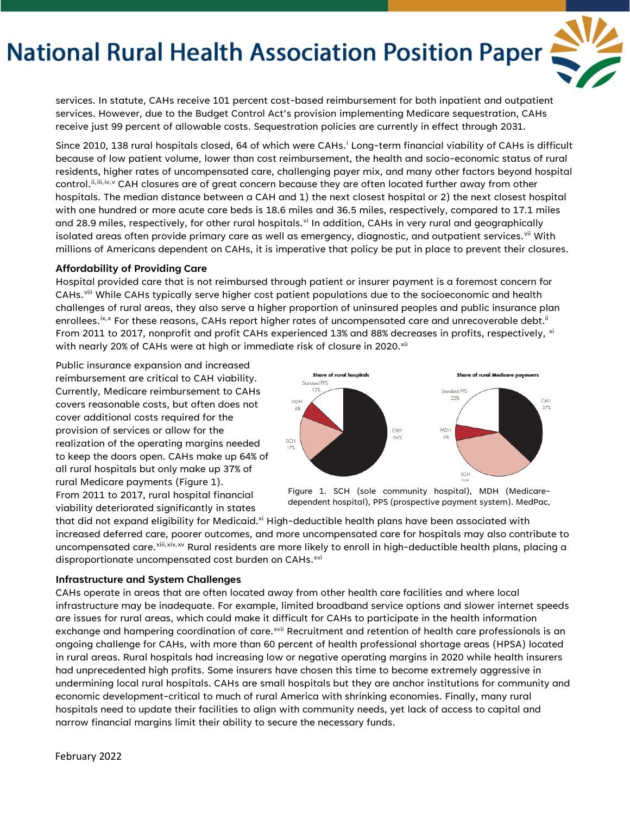# **National Rural Health Association Position Paper**



services. In statute, CAHs receive 101 percent cost-based reimbursement for both inpatient and outpatient services. However, due to the Budget Control Act's provision implementing Medicare sequestration, CAHs receive just 99 percent of allowable costs. Sequestration policies are currently in effect through 2031.

S[i](#page-2-0)nce 2010, 138 rural hospitals closed, 64 of which were CAHs.<sup>i</sup> Long-term financial viability of CAHs is difficult because of low patient volume, lower than cost reimbursement, the health and socio-economic status of rural residents, higher rates of uncompensated care, challenging payer mix, and many other factors beyond hospital control. [ii](#page-2-1),[iii](#page-2-2),[iv](#page-2-3),[v](#page-2-4) CAH closures are of great concern because they are often located further away from other hospitals. The median distance between a CAH and 1) the next closest hospital or 2) the next closest hospital with one hundred or more acute care beds is 18.6 miles and 36.5 miles, respectively, compared to 17.1 miles and 28.9 miles, respectively, for other rural hospitals.<sup>[vi](#page-2-5)</sup> In addition, CAHs in very rural and geographically isolated areas often provide primary care as well as emergency, diagnostic, and outpatient services. [vii](#page-2-6) With millions of Americans dependent on CAHs, it is imperative that policy be put in place to prevent their closures.

#### **Affordability of Providing Care**

Hospital provided care that is not reimbursed through patient or insurer payment is a foremost concern for CAHs.[viii](#page-2-7) While CAHs typically serve higher cost patient populations due to the socioeconomic and health challenges of rural areas, they also serve a higher proportion of uninsured peoples and public insurance plan enrollees. ${}^{\rm{i}x,x}$  ${}^{\rm{i}x,x}$  ${}^{\rm{i}x,x}$  For these reasons, CAHs report higher rates of uncompensated care and unrecoverable debt. ${}^{\rm{i}\!i}$ From 2011 to 2017, nonprofit and profit CAHs experienced 13% and 88% decreases in profits, respectively, [xi](#page-2-10) with nearly 20% of CAHs were at high or immediate risk of closure in 2020. $^{\mathrm{xi}}$ 

Public insurance expansion and increased reimbursement are critical to CAH viability. Currently, Medicare reimbursement to CAHs covers reasonable costs, but often does not cover additional costs required for the provision of services or allow for the realization of the operating margins needed to keep the doors open. CAHs make up 64% of all rural hospitals but only make up 37% of rural Medicare payments (Figure 1). From 2011 to 2017, rural hospital financial viability deteriorated significantly in states



Figure 1. SCH (sole community hospital), MDH (Medicaredependent hospital), PPS (prospective payment system). MedPac,

that did not expand eligibility for Medicaid.<sup>xi</sup> High-deductible health plans have been associated with increased deferred care, poorer outcomes, and more uncompensated care for hospitals may also contribute to uncompensated care.[xiii](#page-2-12)[,xiv,](#page-2-13)[xv](#page-2-14) Rural residents are more likely to enroll in high-deductible health plans, placing a disproportionate uncompensated cost burden on CAHs.[xvi](#page-2-15)

#### **Infrastructure and System Challenges**

CAHs operate in areas that are often located away from other health care facilities and where local infrastructure may be inadequate. For example, limited broadband service options and slower internet speeds are issues for rural areas, which could make it difficult for CAHs to participate in the health information exchange and hampering coordination of care.<sup>[xvii](#page-2-16)</sup> Recruitment and retention of health care professionals is an ongoing challenge for CAHs, with more than 60 percent of health professional shortage areas (HPSA) located in rural areas. Rural hospitals had increasing low or negative operating margins in 2020 while health insurers had unprecedented high profits. Some insurers have chosen this time to become extremely aggressive in undermining local rural hospitals. CAHs are small hospitals but they are anchor institutions for community and economic development-critical to much of rural America with shrinking economies. Finally, many rural hospitals need to update their facilities to align with community needs, yet lack of access to capital and narrow financial margins limit their ability to secure the necessary funds.